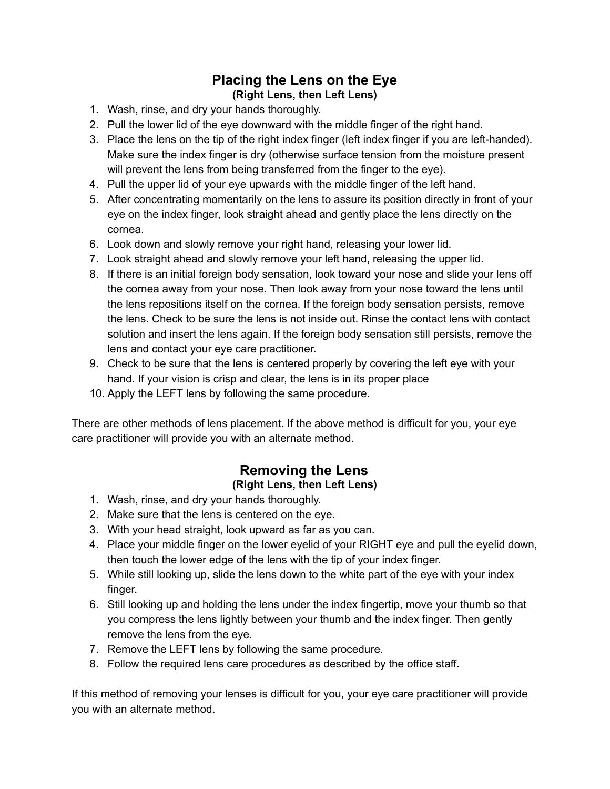## **Placing the Lens on the Eye (Right Lens, then Left Lens)**

- 1. Wash, rinse, and dry your hands thoroughly.
- 2. Pull the lower lid of the eye downward with the middle finger of the right hand.
- 3. Place the lens on the tip of the right index finger (left index finger if you are left-handed). Make sure the index finger is dry (otherwise surface tension from the moisture present will prevent the lens from being transferred from the finger to the eye).
- 4. Pull the upper lid of your eye upwards with the middle finger of the left hand.
- 5. After concentrating momentarily on the lens to assure its position directly in front of your eye on the index finger, look straight ahead and gently place the lens directly on the cornea.
- 6. Look down and slowly remove your right hand, releasing your lower lid.
- 7. Look straight ahead and slowly remove your left hand, releasing the upper lid.
- 8. If there is an initial foreign body sensation, look toward your nose and slide your lens off the cornea away from your nose. Then look away from your nose toward the lens until the lens repositions itself on the cornea. If the foreign body sensation persists, remove the lens. Check to be sure the lens is not inside out. Rinse the contact lens with contact solution and insert the lens again. If the foreign body sensation still persists, remove the lens and contact your eye care practitioner.
- 9. Check to be sure that the lens is centered properly by covering the left eye with your hand. If your vision is crisp and clear, the lens is in its proper place
- 10. Apply the LEFT lens by following the same procedure.

There are other methods of lens placement. If the above method is difficult for you, your eye care practitioner will provide you with an alternate method.

## **Removing the Lens (Right Lens, then Left Lens)**

- 1. Wash, rinse, and dry your hands thoroughly.
- 2. Make sure that the lens is centered on the eye.
- 3. With your head straight, look upward as far as you can.
- 4. Place your middle finger on the lower eyelid of your RIGHT eye and pull the eyelid down, then touch the lower edge of the lens with the tip of your index finger.
- 5. While still looking up, slide the lens down to the white part of the eye with your index finger.
- 6. Still looking up and holding the lens under the index fingertip, move your thumb so that you compress the lens lightly between your thumb and the index finger. Then gently remove the lens from the eye.
- 7. Remove the LEFT lens by following the same procedure.
- 8. Follow the required lens care procedures as described by the office staff.

If this method of removing your lenses is difficult for you, your eye care practitioner will provide you with an alternate method.